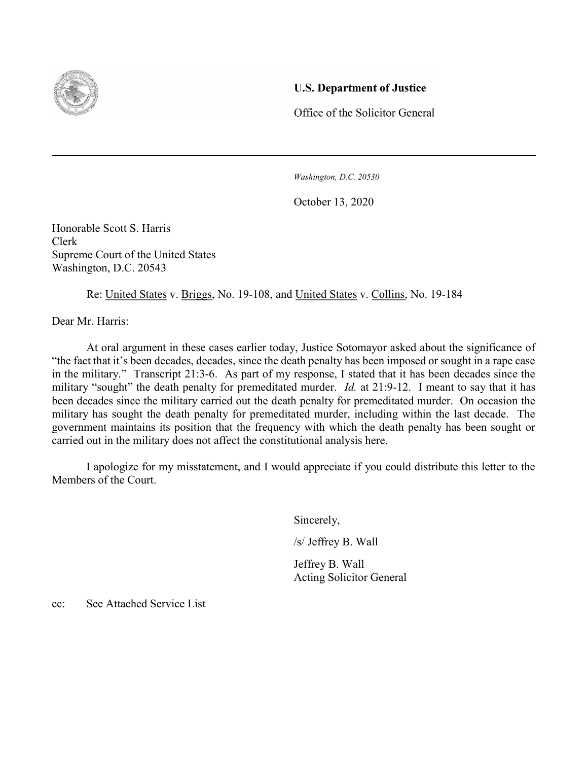

## U.S. Department of Justice

Office of the Solicitor General

Washington, D.C. 20530

October 13, 2020

Honorable Scott S. Harris Clerk Supreme Court of the United States Washington, D.C. 20543

Re: United States v. Briggs, No. 19-108, and United States v. Collins, No. 19-184

Dear Mr. Harris:

 At oral argument in these cases earlier today, Justice Sotomayor asked about the significance of "the fact that it's been decades, decades, since the death penalty has been imposed or sought in a rape case in the military." Transcript 21:3-6. As part of my response, I stated that it has been decades since the military "sought" the death penalty for premeditated murder. *Id.* at 21:9-12. I meant to say that it has been decades since the military carried out the death penalty for premeditated murder. On occasion the military has sought the death penalty for premeditated murder, including within the last decade. The government maintains its position that the frequency with which the death penalty has been sought or carried out in the military does not affect the constitutional analysis here.

I apologize for my misstatement, and I would appreciate if you could distribute this letter to the Members of the Court.

Sincerely,

/s/ Jeffrey B. Wall

 Jeffrey B. Wall Acting Solicitor General

cc: See Attached Service List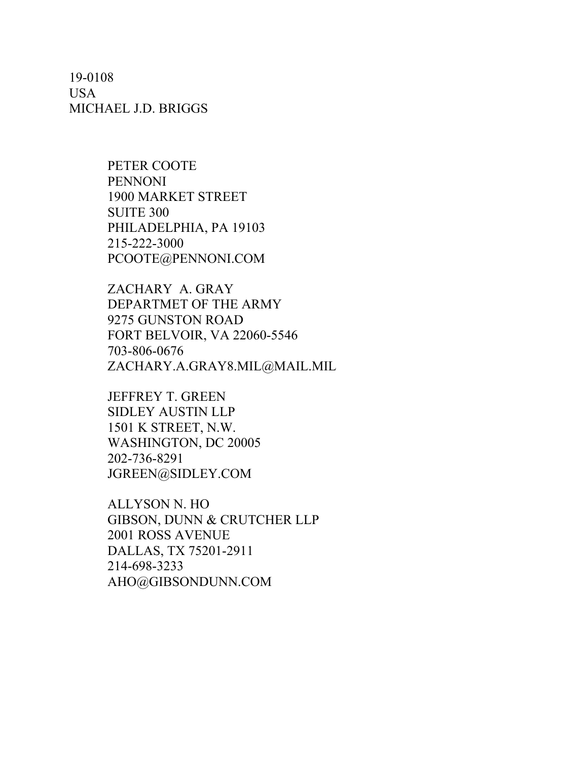19-0108 USA MICHAEL J.D. BRIGGS

> PETER COOTE PENNONI 1900 MARKET STREET SUITE 300 PHILADELPHIA, PA 19103 215-222-3000 PCOOTE@PENNONI.COM

ZACHARY A. GRAY DEPARTMET OF THE ARMY 9275 GUNSTON ROAD FORT BELVOIR, VA 22060-5546 703-806-0676 ZACHARY.A.GRAY8.MIL@MAIL.MIL

JEFFREY T. GREEN SIDLEY AUSTIN LLP 1501 K STREET, N.W. WASHINGTON, DC 20005 202-736-8291 JGREEN@SIDLEY.COM

ALLYSON N. HO GIBSON, DUNN & CRUTCHER LLP 2001 ROSS AVENUE DALLAS, TX 75201-2911 214-698-3233 AHO@GIBSONDUNN.COM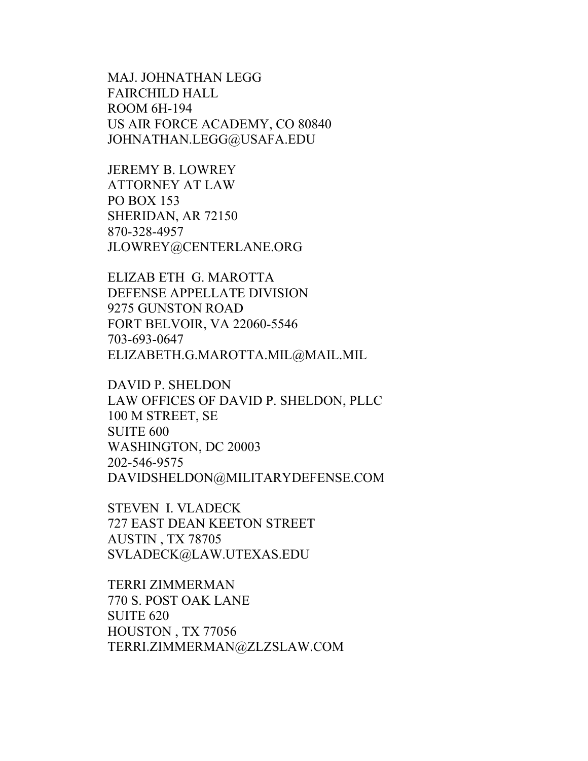MAJ. JOHNATHAN LEGG FAIRCHILD HALL ROOM 6H-194 US AIR FORCE ACADEMY, CO 80840 JOHNATHAN.LEGG@USAFA.EDU

JEREMY B. LOWREY ATTORNEY AT LAW PO BOX 153 SHERIDAN, AR 72150 870-328-4957 JLOWREY@CENTERLANE.ORG

ELIZAB ETH G. MAROTTA DEFENSE APPELLATE DIVISION 9275 GUNSTON ROAD FORT BELVOIR, VA 22060-5546 703-693-0647 ELIZABETH.G.MAROTTA.MIL@MAIL.MIL

DAVID P. SHELDON LAW OFFICES OF DAVID P. SHELDON, PLLC 100 M STREET, SE SUITE 600 WASHINGTON, DC 20003 202-546-9575 DAVIDSHELDON@MILITARYDEFENSE.COM

STEVEN I. VLADECK 727 EAST DEAN KEETON STREET AUSTIN , TX 78705 SVLADECK@LAW.UTEXAS.EDU

TERRI ZIMMERMAN 770 S. POST OAK LANE SUITE 620 HOUSTON , TX 77056 TERRI.ZIMMERMAN@ZLZSLAW.COM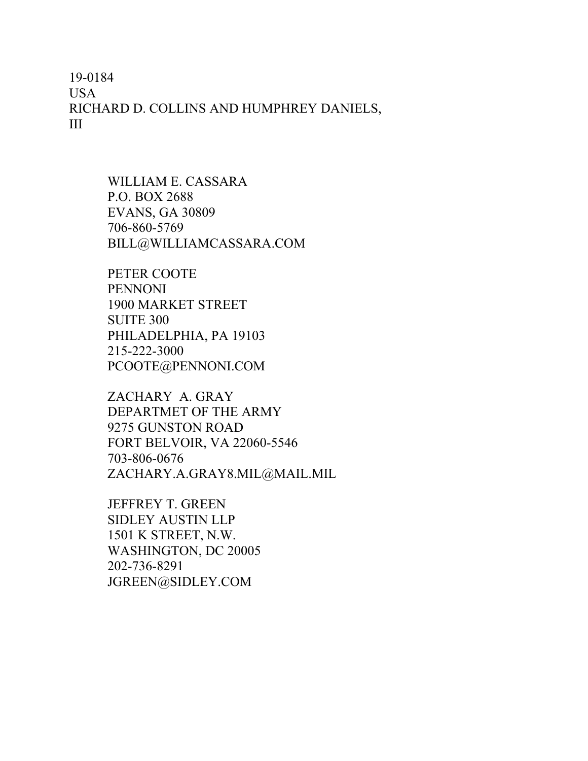19-0184 USA RICHARD D. COLLINS AND HUMPHREY DANIELS, III

> WILLIAM E. CASSARA P.O. BOX 2688 EVANS, GA 30809 706-860-5769 BILL@WILLIAMCASSARA.COM

PETER COOTE PENNONI 1900 MARKET STREET SUITE 300 PHILADELPHIA, PA 19103 215-222-3000 PCOOTE@PENNONI.COM

ZACHARY A. GRAY DEPARTMET OF THE ARMY 9275 GUNSTON ROAD FORT BELVOIR, VA 22060-5546 703-806-0676 ZACHARY.A.GRAY8.MIL@MAIL.MIL

JEFFREY T. GREEN SIDLEY AUSTIN LLP 1501 K STREET, N.W. WASHINGTON, DC 20005 202-736-8291 JGREEN@SIDLEY.COM